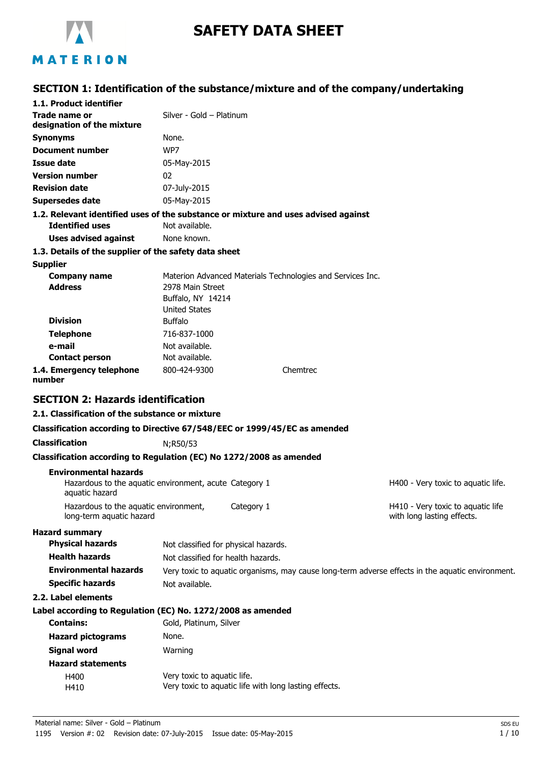

# **SAFETY DATA SHEET**

### **SECTION 1: Identification of the substance/mixture and of the company/undertaking**

| 1.1. Product identifier                                                            |                          |                                                            |                                                                                                  |
|------------------------------------------------------------------------------------|--------------------------|------------------------------------------------------------|--------------------------------------------------------------------------------------------------|
| Trade name or                                                                      | Silver - Gold - Platinum |                                                            |                                                                                                  |
| designation of the mixture                                                         |                          |                                                            |                                                                                                  |
| <b>Synonyms</b>                                                                    | None.                    |                                                            |                                                                                                  |
| Document number                                                                    | WP7                      |                                                            |                                                                                                  |
| Issue date                                                                         | 05-May-2015              |                                                            |                                                                                                  |
| <b>Version number</b>                                                              | 02                       |                                                            |                                                                                                  |
| <b>Revision date</b>                                                               | 07-July-2015             |                                                            |                                                                                                  |
| <b>Supersedes date</b>                                                             | 05-May-2015              |                                                            |                                                                                                  |
| 1.2. Relevant identified uses of the substance or mixture and uses advised against |                          |                                                            |                                                                                                  |
| <b>Identified uses</b>                                                             | Not available.           |                                                            |                                                                                                  |
| <b>Uses advised against</b>                                                        | None known.              |                                                            |                                                                                                  |
| 1.3. Details of the supplier of the safety data sheet                              |                          |                                                            |                                                                                                  |
| <b>Supplier</b>                                                                    |                          |                                                            |                                                                                                  |
| <b>Company name</b>                                                                |                          | Materion Advanced Materials Technologies and Services Inc. |                                                                                                  |
| <b>Address</b>                                                                     | 2978 Main Street         |                                                            |                                                                                                  |
|                                                                                    | Buffalo, NY 14214        |                                                            |                                                                                                  |
|                                                                                    | <b>United States</b>     |                                                            |                                                                                                  |
| <b>Division</b>                                                                    | <b>Buffalo</b>           |                                                            |                                                                                                  |
| <b>Telephone</b>                                                                   | 716-837-1000             |                                                            |                                                                                                  |
| e-mail                                                                             | Not available.           |                                                            |                                                                                                  |
| <b>Contact person</b>                                                              | Not available.           |                                                            |                                                                                                  |
| 1.4. Emergency telephone<br>number                                                 | 800-424-9300             | Chemtrec                                                   |                                                                                                  |
| <b>SECTION 2: Hazards identification</b>                                           |                          |                                                            |                                                                                                  |
| 2.1. Classification of the substance or mixture                                    |                          |                                                            |                                                                                                  |
| Classification according to Directive 67/548/EEC or 1999/45/EC as amended          |                          |                                                            |                                                                                                  |
| <b>Classification</b>                                                              | N;R50/53                 |                                                            |                                                                                                  |
| Classification according to Regulation (EC) No 1272/2008 as amended                |                          |                                                            |                                                                                                  |
| <b>Environmental hazards</b>                                                       |                          |                                                            |                                                                                                  |
| Hazardous to the aquatic environment, acute Category 1<br>aquatic hazard           |                          |                                                            | H400 - Very toxic to aquatic life.                                                               |
| Hazardous to the aquatic environment,<br>long-term aquatic hazard                  |                          | Category 1                                                 | H410 - Very toxic to aquatic life<br>with long lasting effects.                                  |
| <b>Hazard summary</b>                                                              |                          |                                                            |                                                                                                  |
| <b>Physical hazards</b>                                                            |                          | Not classified for physical hazards.                       |                                                                                                  |
| <b>Health hazards</b>                                                              |                          | Not classified for health hazards.                         |                                                                                                  |
| <b>Environmental hazards</b>                                                       |                          |                                                            | Very toxic to aquatic organisms, may cause long-term adverse effects in the aquatic environment. |
| <b>Specific hazards</b>                                                            | Not available.           |                                                            |                                                                                                  |
| 2.2. Label elements                                                                |                          |                                                            |                                                                                                  |
|                                                                                    |                          |                                                            |                                                                                                  |

#### **Label according to Regulation (EC) No. 1272/2008 as amended**

| <b>Contains:</b>         | Gold, Platinum, Silver                                |
|--------------------------|-------------------------------------------------------|
| <b>Hazard pictograms</b> | None.                                                 |
| Signal word              | Warning                                               |
| <b>Hazard statements</b> |                                                       |
| H400                     | Very toxic to aquatic life.                           |
| H410                     | Very toxic to aquatic life with long lasting effects. |
|                          |                                                       |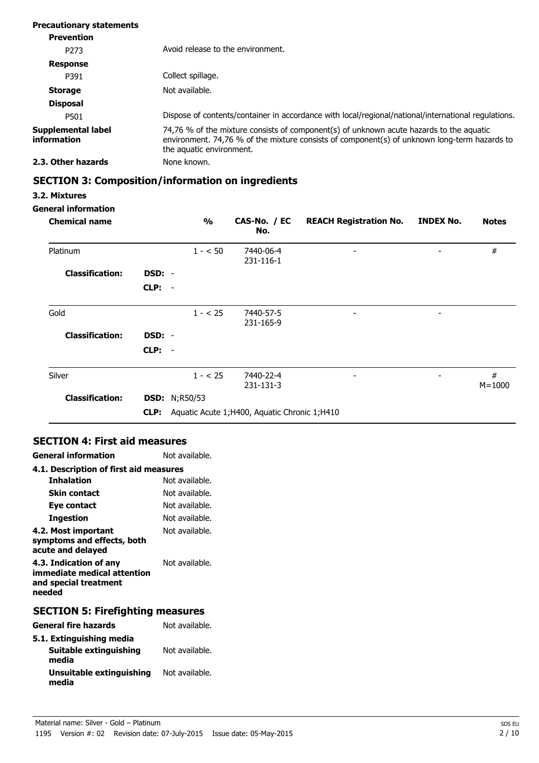| <b>Precautionary statements</b>   |                                                                                                                                                                                                                     |
|-----------------------------------|---------------------------------------------------------------------------------------------------------------------------------------------------------------------------------------------------------------------|
| <b>Prevention</b>                 |                                                                                                                                                                                                                     |
| P <sub>273</sub>                  | Avoid release to the environment.                                                                                                                                                                                   |
| <b>Response</b>                   |                                                                                                                                                                                                                     |
| P391                              | Collect spillage.                                                                                                                                                                                                   |
| <b>Storage</b>                    | Not available.                                                                                                                                                                                                      |
| <b>Disposal</b>                   |                                                                                                                                                                                                                     |
| P501                              | Dispose of contents/container in accordance with local/regional/national/international regulations.                                                                                                                 |
| Supplemental label<br>information | 74,76 % of the mixture consists of component(s) of unknown acute hazards to the aquatic<br>environment. 74,76 % of the mixture consists of component(s) of unknown long-term hazards to<br>the aquatic environment. |
| 2.3. Other hazards                | None known.                                                                                                                                                                                                         |

# **SECTION 3: Composition/information on ingredients**

#### **3.2. Mixtures**

#### **General information**

| <b>Chemical name</b>   |          | $\frac{0}{0}$        | CAS-No. / EC<br>No.                            | <b>REACH Registration No.</b> | <b>INDEX No.</b>         | <b>Notes</b>    |
|------------------------|----------|----------------------|------------------------------------------------|-------------------------------|--------------------------|-----------------|
| Platinum               |          | $1 - 50$             | 7440-06-4<br>231-116-1                         | $\overline{\phantom{0}}$      | $\overline{\phantom{0}}$ | #               |
| <b>Classification:</b> | DSD: -   |                      |                                                |                               |                          |                 |
|                        | $CLP: -$ |                      |                                                |                               |                          |                 |
| Gold                   |          | $1 - 25$             | 7440-57-5<br>231-165-9                         | -                             | -                        |                 |
| <b>Classification:</b> | DSD: -   |                      |                                                |                               |                          |                 |
|                        | $CLP: -$ |                      |                                                |                               |                          |                 |
| Silver                 |          | $1 - 25$             | 7440-22-4<br>231-131-3                         | -                             | -                        | #<br>$M = 1000$ |
| <b>Classification:</b> |          | <b>DSD:</b> N;R50/53 |                                                |                               |                          |                 |
|                        | CLP:     |                      | Aquatic Acute 1; H400, Aquatic Chronic 1; H410 |                               |                          |                 |

### **SECTION 4: First aid measures**

| <b>General information</b>                                                               | Not available. |
|------------------------------------------------------------------------------------------|----------------|
| 4.1. Description of first aid measures                                                   |                |
| <b>Inhalation</b>                                                                        | Not available. |
| Skin contact                                                                             | Not available. |
| Eye contact                                                                              | Not available. |
| Ingestion                                                                                | Not available. |
| 4.2. Most important<br>symptoms and effects, both<br>acute and delayed                   | Not available. |
| 4.3. Indication of any<br>immediate medical attention<br>and special treatment<br>needed | Not available. |

# **SECTION 5: Firefighting measures**

| <b>General fire hazards</b>       | Not available. |
|-----------------------------------|----------------|
| 5.1. Extinguishing media          |                |
| Suitable extinguishing<br>media   | Not available. |
| Unsuitable extinguishing<br>media | Not available. |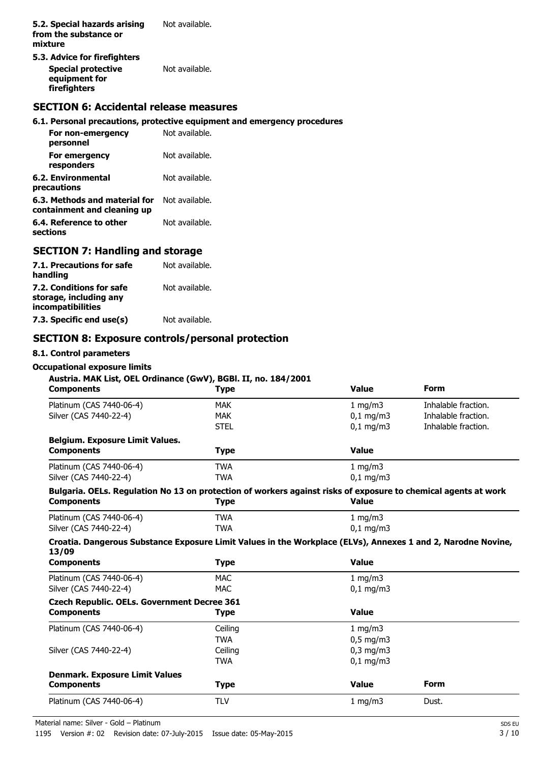- **5.3. Advice for firefighters**
- **Special protective** Not available. **equipment for firefighters**

### **SECTION 6: Accidental release measures**

### **6.1. Personal precautions, protective equipment and emergency procedures**

| For non-emergency<br>personnel                               | Not available. |
|--------------------------------------------------------------|----------------|
| For emergency<br>responders                                  | Not available. |
| 6.2. Environmental<br>precautions                            | Not available. |
| 6.3. Methods and material for<br>containment and cleaning up | Not available. |
| 6.4. Reference to other<br>sections                          | Not available. |

### **SECTION 7: Handling and storage**

| 7.1. Precautions for safe<br>handling                                          | Not available. |
|--------------------------------------------------------------------------------|----------------|
| 7.2. Conditions for safe<br>storage, including any<br><b>incompatibilities</b> | Not available. |
| 7.3. Specific end use(s)                                                       | Not available. |

### **SECTION 8: Exposure controls/personal protection**

#### **8.1. Control parameters**

# **Occupational exposure limits**

| <b>Components</b>                                                                                                | <b>Type</b> | Value          | <b>Form</b>         |
|------------------------------------------------------------------------------------------------------------------|-------------|----------------|---------------------|
| Platinum (CAS 7440-06-4)                                                                                         | <b>MAK</b>  | 1 mg/m3        | Inhalable fraction. |
| Silver (CAS 7440-22-4)                                                                                           | <b>MAK</b>  | $0,1$ mg/m3    | Inhalable fraction. |
|                                                                                                                  | <b>STEL</b> | $0,1$ mg/m3    | Inhalable fraction. |
| <b>Belgium. Exposure Limit Values.</b>                                                                           |             |                |                     |
| <b>Components</b>                                                                                                | <b>Type</b> | <b>Value</b>   |                     |
| Platinum (CAS 7440-06-4)                                                                                         | <b>TWA</b>  | 1 mg/m3        |                     |
| Silver (CAS 7440-22-4)                                                                                           | <b>TWA</b>  | $0.1$ mg/m3    |                     |
| Bulgaria. OELs. Regulation No 13 on protection of workers against risks of exposure to chemical agents at work   |             |                |                     |
| <b>Components</b>                                                                                                | <b>Type</b> | <b>Value</b>   |                     |
| Platinum (CAS 7440-06-4)                                                                                         | <b>TWA</b>  | 1 mg/m3        |                     |
| Silver (CAS 7440-22-4)                                                                                           | <b>TWA</b>  | $0,1$ mg/m3    |                     |
| Croatia. Dangerous Substance Exposure Limit Values in the Workplace (ELVs), Annexes 1 and 2, Narodne Novine,     |             |                |                     |
| 13/09                                                                                                            |             |                |                     |
| <b>Components</b>                                                                                                | <b>Type</b> | <b>Value</b>   |                     |
|                                                                                                                  | <b>MAC</b>  | 1 $mg/m3$      |                     |
| Platinum (CAS 7440-06-4)<br>Silver (CAS 7440-22-4)                                                               | <b>MAC</b>  | $0,1$ mg/m3    |                     |
| <b>Czech Republic. OELs. Government Decree 361</b>                                                               |             |                |                     |
| <b>Components</b>                                                                                                | <b>Type</b> | <b>Value</b>   |                     |
|                                                                                                                  | Ceiling     | 1 $mg/m3$      |                     |
|                                                                                                                  | <b>TWA</b>  | $0,5$ mg/m3    |                     |
|                                                                                                                  | Ceiling     | $0,3$ mg/m $3$ |                     |
|                                                                                                                  | <b>TWA</b>  | $0,1$ mg/m3    |                     |
|                                                                                                                  |             |                |                     |
| Platinum (CAS 7440-06-4)<br>Silver (CAS 7440-22-4)<br><b>Denmark. Exposure Limit Values</b><br><b>Components</b> | <b>Type</b> | <b>Value</b>   | <b>Form</b>         |

Material name: Silver - Gold – Platinum SDS EU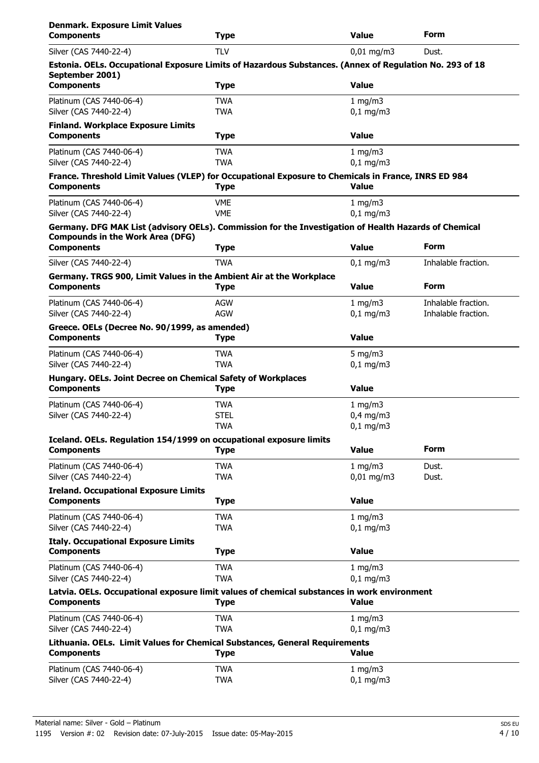| <b>Denmark. Exposure Limit Values</b><br><b>Components</b>                                                                                       | <b>Type</b>              | <b>Value</b>              | Form                                       |
|--------------------------------------------------------------------------------------------------------------------------------------------------|--------------------------|---------------------------|--------------------------------------------|
| Silver (CAS 7440-22-4)                                                                                                                           | <b>TLV</b>               | $0,01$ mg/m3              | Dust.                                      |
| Estonia. OELs. Occupational Exposure Limits of Hazardous Substances. (Annex of Regulation No. 293 of 18<br>September 2001)                       |                          |                           |                                            |
| <b>Components</b>                                                                                                                                | <b>Type</b>              | <b>Value</b>              |                                            |
| Platinum (CAS 7440-06-4)<br>Silver (CAS 7440-22-4)                                                                                               | <b>TWA</b><br><b>TWA</b> | 1 mg/m3<br>$0,1$ mg/m3    |                                            |
| <b>Finland. Workplace Exposure Limits</b>                                                                                                        |                          |                           |                                            |
| <b>Components</b>                                                                                                                                | <b>Type</b>              | <b>Value</b>              |                                            |
| Platinum (CAS 7440-06-4)<br>Silver (CAS 7440-22-4)                                                                                               | <b>TWA</b><br><b>TWA</b> | 1 mg/m $3$<br>$0.1$ mg/m3 |                                            |
| France. Threshold Limit Values (VLEP) for Occupational Exposure to Chemicals in France, INRS ED 984<br><b>Components</b>                         | <b>Type</b>              | Value                     |                                            |
| Platinum (CAS 7440-06-4)<br>Silver (CAS 7440-22-4)                                                                                               | <b>VME</b><br><b>VME</b> | 1 mg/m3<br>$0,1$ mg/m $3$ |                                            |
| Germany. DFG MAK List (advisory OELs). Commission for the Investigation of Health Hazards of Chemical<br><b>Compounds in the Work Area (DFG)</b> |                          |                           |                                            |
| <b>Components</b>                                                                                                                                | <b>Type</b>              | <b>Value</b>              | <b>Form</b>                                |
| Silver (CAS 7440-22-4)                                                                                                                           | <b>TWA</b>               | $0,1$ mg/m3               | Inhalable fraction.                        |
| Germany. TRGS 900, Limit Values in the Ambient Air at the Workplace<br><b>Components</b>                                                         | <b>Type</b>              | <b>Value</b>              | <b>Form</b>                                |
| Platinum (CAS 7440-06-4)<br>Silver (CAS 7440-22-4)                                                                                               | AGW<br><b>AGW</b>        | 1 mg/m $3$<br>$0,1$ mg/m3 | Inhalable fraction.<br>Inhalable fraction. |
| Greece. OELs (Decree No. 90/1999, as amended)<br><b>Components</b>                                                                               | <b>Type</b>              | <b>Value</b>              |                                            |
| Platinum (CAS 7440-06-4)<br>Silver (CAS 7440-22-4)                                                                                               | <b>TWA</b><br><b>TWA</b> | 5 mg/m $3$<br>$0,1$ mg/m3 |                                            |
| Hungary. OELs. Joint Decree on Chemical Safety of Workplaces                                                                                     |                          |                           |                                            |
| <b>Components</b>                                                                                                                                | <b>Type</b>              | <b>Value</b>              |                                            |
| Platinum (CAS 7440-06-4)                                                                                                                         | <b>TWA</b>               | 1 mg/m3                   |                                            |
| Silver (CAS 7440-22-4)                                                                                                                           | <b>STEL</b>              | $0,4$ mg/m3               |                                            |
|                                                                                                                                                  | <b>TWA</b>               | $0,1$ mg/m3               |                                            |
| Iceland. OELs. Regulation 154/1999 on occupational exposure limits<br><b>Components</b>                                                          | <b>Type</b>              | <b>Value</b>              | <b>Form</b>                                |
| Platinum (CAS 7440-06-4)                                                                                                                         | <b>TWA</b>               | 1 mg/m3                   | Dust.                                      |
| Silver (CAS 7440-22-4)                                                                                                                           | <b>TWA</b>               | $0,01$ mg/m3              | Dust.                                      |
| <b>Ireland. Occupational Exposure Limits</b><br><b>Components</b>                                                                                | <b>Type</b>              | <b>Value</b>              |                                            |
| Platinum (CAS 7440-06-4)<br>Silver (CAS 7440-22-4)                                                                                               | <b>TWA</b><br><b>TWA</b> | 1 mg/m $3$<br>$0,1$ mg/m3 |                                            |
| <b>Italy. Occupational Exposure Limits</b>                                                                                                       |                          |                           |                                            |
| <b>Components</b>                                                                                                                                | <b>Type</b>              | <b>Value</b>              |                                            |
| Platinum (CAS 7440-06-4)<br>Silver (CAS 7440-22-4)                                                                                               | <b>TWA</b><br><b>TWA</b> | 1 mg/m3<br>$0,1$ mg/m3    |                                            |
| Latvia. OELs. Occupational exposure limit values of chemical substances in work environment<br><b>Components</b>                                 | <b>Type</b>              | Value                     |                                            |
| Platinum (CAS 7440-06-4)<br>Silver (CAS 7440-22-4)                                                                                               | <b>TWA</b><br><b>TWA</b> | 1 mg/m3<br>$0,1$ mg/m3    |                                            |
| Lithuania. OELs. Limit Values for Chemical Substances, General Requirements<br><b>Components</b>                                                 | <b>Type</b>              | <b>Value</b>              |                                            |
|                                                                                                                                                  |                          |                           |                                            |
| Platinum (CAS 7440-06-4)<br>Silver (CAS 7440-22-4)                                                                                               | <b>TWA</b><br><b>TWA</b> | 1 mg/m $3$<br>$0,1$ mg/m3 |                                            |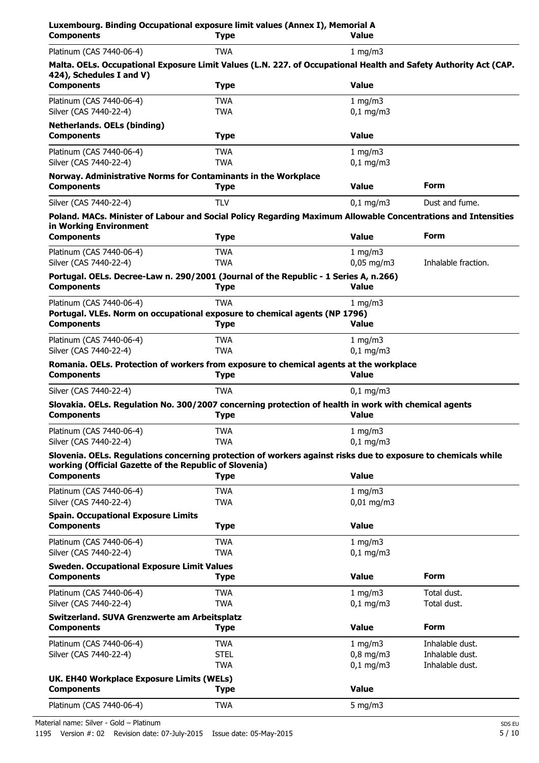| Luxembourg. Binding Occupational exposure limit values (Annex I), Memorial A<br><b>Components</b>                                                                       | <b>Type</b>               | <b>Value</b>               |                            |
|-------------------------------------------------------------------------------------------------------------------------------------------------------------------------|---------------------------|----------------------------|----------------------------|
| Platinum (CAS 7440-06-4)                                                                                                                                                | <b>TWA</b>                | 1 mg/m $3$                 |                            |
| Malta. OELs. Occupational Exposure Limit Values (L.N. 227. of Occupational Health and Safety Authority Act (CAP.<br>424), Schedules I and V)                            |                           |                            |                            |
| <b>Components</b>                                                                                                                                                       | <b>Type</b>               | <b>Value</b>               |                            |
| Platinum (CAS 7440-06-4)<br>Silver (CAS 7440-22-4)                                                                                                                      | <b>TWA</b><br><b>TWA</b>  | 1 mg/m3<br>$0,1$ mg/m3     |                            |
| <b>Netherlands. OELs (binding)</b><br><b>Components</b>                                                                                                                 | <b>Type</b>               | <b>Value</b>               |                            |
| Platinum (CAS 7440-06-4)<br>Silver (CAS 7440-22-4)                                                                                                                      | <b>TWA</b><br><b>TWA</b>  | 1 mg/m3<br>$0,1$ mg/m3     |                            |
| Norway. Administrative Norms for Contaminants in the Workplace<br><b>Components</b>                                                                                     | <b>Type</b>               | <b>Value</b>               | Form                       |
| Silver (CAS 7440-22-4)                                                                                                                                                  | <b>TLV</b>                | $0,1 \, \text{mg/m}$       | Dust and fume.             |
| Poland. MACs. Minister of Labour and Social Policy Regarding Maximum Allowable Concentrations and Intensities<br>in Working Environment                                 |                           |                            |                            |
| <b>Components</b>                                                                                                                                                       | <b>Type</b>               | <b>Value</b>               | Form                       |
| Platinum (CAS 7440-06-4)<br>Silver (CAS 7440-22-4)                                                                                                                      | <b>TWA</b><br><b>TWA</b>  | 1 mg/m3<br>$0,05$ mg/m3    | Inhalable fraction.        |
| Portugal. OELs. Decree-Law n. 290/2001 (Journal of the Republic - 1 Series A, n.266)                                                                                    |                           |                            |                            |
| <b>Components</b>                                                                                                                                                       | <b>Type</b>               | <b>Value</b>               |                            |
| Platinum (CAS 7440-06-4)<br>Portugal. VLEs. Norm on occupational exposure to chemical agents (NP 1796)<br><b>Components</b>                                             | <b>TWA</b><br><b>Type</b> | 1 mg/m $3$<br><b>Value</b> |                            |
| Platinum (CAS 7440-06-4)                                                                                                                                                | <b>TWA</b>                |                            |                            |
| Silver (CAS 7440-22-4)                                                                                                                                                  | <b>TWA</b>                | 1 mg/m $3$<br>$0,1$ mg/m3  |                            |
| Romania. OELs. Protection of workers from exposure to chemical agents at the workplace<br><b>Components</b>                                                             | <b>Type</b>               | <b>Value</b>               |                            |
| Silver (CAS 7440-22-4)                                                                                                                                                  | <b>TWA</b>                | $0,1$ mg/m3                |                            |
| Slovakia. OELs. Regulation No. 300/2007 concerning protection of health in work with chemical agents<br><b>Components</b>                                               | <b>Type</b>               | <b>Value</b>               |                            |
| Platinum (CAS 7440-06-4)<br>Silver (CAS 7440-22-4)                                                                                                                      | TWA<br><b>TWA</b>         | 1 mg/m3<br>$0,1$ mg/m3     |                            |
| Slovenia. OELs. Regulations concerning protection of workers against risks due to exposure to chemicals while<br>working (Official Gazette of the Republic of Slovenia) |                           |                            |                            |
| <b>Components</b>                                                                                                                                                       | <b>Type</b>               | <b>Value</b>               |                            |
| Platinum (CAS 7440-06-4)<br>Silver (CAS 7440-22-4)                                                                                                                      | <b>TWA</b><br><b>TWA</b>  | 1 mg/m3<br>$0,01$ mg/m3    |                            |
| <b>Spain. Occupational Exposure Limits</b>                                                                                                                              |                           |                            |                            |
| <b>Components</b>                                                                                                                                                       | <b>Type</b>               | <b>Value</b>               |                            |
| Platinum (CAS 7440-06-4)<br>Silver (CAS 7440-22-4)                                                                                                                      | <b>TWA</b><br><b>TWA</b>  | 1 mg/m $3$<br>$0,1$ mg/m3  |                            |
| <b>Sweden. Occupational Exposure Limit Values</b><br><b>Components</b>                                                                                                  | <b>Type</b>               | <b>Value</b>               | <b>Form</b>                |
| Platinum (CAS 7440-06-4)<br>Silver (CAS 7440-22-4)                                                                                                                      | <b>TWA</b><br><b>TWA</b>  | 1 mg/m3<br>$0,1$ mg/m3     | Total dust.<br>Total dust. |
| Switzerland. SUVA Grenzwerte am Arbeitsplatz<br><b>Components</b>                                                                                                       | <b>Type</b>               | <b>Value</b>               | <b>Form</b>                |
| Platinum (CAS 7440-06-4)                                                                                                                                                | <b>TWA</b>                | 1 mg/m $3$                 | Inhalable dust.            |
| Silver (CAS 7440-22-4)                                                                                                                                                  | <b>STEL</b>               | $0,8$ mg/m3                | Inhalable dust.            |
|                                                                                                                                                                         | <b>TWA</b>                | $0,1$ mg/m3                | Inhalable dust.            |
| UK. EH40 Workplace Exposure Limits (WELs)<br><b>Components</b>                                                                                                          | <b>Type</b>               | <b>Value</b>               |                            |
| Platinum (CAS 7440-06-4)                                                                                                                                                | <b>TWA</b>                | 5 mg/m $3$                 |                            |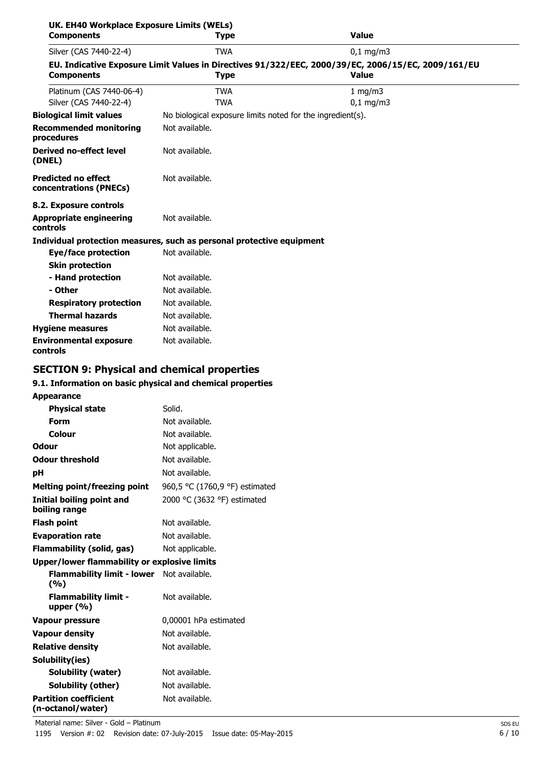| UK. EH40 Workplace Exposure Limits (WELs)<br><b>Components</b> | <b>Type</b>                                                           | <b>Value</b>                                                                                                       |
|----------------------------------------------------------------|-----------------------------------------------------------------------|--------------------------------------------------------------------------------------------------------------------|
| Silver (CAS 7440-22-4)                                         | <b>TWA</b>                                                            | $0,1$ mg/m3                                                                                                        |
| <b>Components</b>                                              | <b>Type</b>                                                           | EU. Indicative Exposure Limit Values in Directives 91/322/EEC, 2000/39/EC, 2006/15/EC, 2009/161/EU<br><b>Value</b> |
| Platinum (CAS 7440-06-4)<br>Silver (CAS 7440-22-4)             | <b>TWA</b><br><b>TWA</b>                                              | 1 mg/m $3$<br>$0,1$ mg/m3                                                                                          |
| <b>Biological limit values</b>                                 | No biological exposure limits noted for the ingredient(s).            |                                                                                                                    |
| <b>Recommended monitoring</b><br>procedures                    | Not available.                                                        |                                                                                                                    |
| <b>Derived no-effect level</b><br>(DNEL)                       | Not available.                                                        |                                                                                                                    |
| <b>Predicted no effect</b><br>concentrations (PNECs)           | Not available.                                                        |                                                                                                                    |
| 8.2. Exposure controls                                         |                                                                       |                                                                                                                    |
| <b>Appropriate engineering</b><br>controls                     | Not available.                                                        |                                                                                                                    |
|                                                                | Individual protection measures, such as personal protective equipment |                                                                                                                    |
| Eye/face protection                                            | Not available.                                                        |                                                                                                                    |
| <b>Skin protection</b>                                         |                                                                       |                                                                                                                    |
| - Hand protection                                              | Not available.                                                        |                                                                                                                    |
| - Other                                                        | Not available.                                                        |                                                                                                                    |
| <b>Respiratory protection</b>                                  | Not available.                                                        |                                                                                                                    |
| <b>Thermal hazards</b>                                         | Not available.                                                        |                                                                                                                    |
| <b>Hygiene measures</b>                                        | Not available.                                                        |                                                                                                                    |
| <b>Environmental exposure</b><br>controls                      | Not available.                                                        |                                                                                                                    |

# **SECTION 9: Physical and chemical properties**

### **9.1. Information on basic physical and chemical properties**

| <b>Appearance</b>                                   |                                |
|-----------------------------------------------------|--------------------------------|
| <b>Physical state</b>                               | Solid.                         |
| Form                                                | Not available.                 |
| Colour                                              | Not available.                 |
| <b>Odour</b>                                        | Not applicable.                |
| <b>Odour threshold</b>                              | Not available.                 |
| рH                                                  | Not available.                 |
| <b>Melting point/freezing point</b>                 | 960,5 °C (1760,9 °F) estimated |
| Initial boiling point and<br>boiling range          | 2000 °C (3632 °F) estimated    |
| <b>Flash point</b>                                  | Not available.                 |
| <b>Evaporation rate</b>                             | Not available.                 |
| <b>Flammability (solid, gas)</b>                    | Not applicable.                |
| <b>Upper/lower flammability or explosive limits</b> |                                |
| <b>Flammability limit - lower</b><br>(%)            | Not available.                 |
| <b>Flammability limit -</b><br>upper $(\% )$        | Not available.                 |
| <b>Vapour pressure</b>                              | 0,00001 hPa estimated          |
| <b>Vapour density</b>                               | Not available.                 |
| <b>Relative density</b>                             | Not available.                 |
| Solubility(ies)                                     |                                |
| <b>Solubility (water)</b>                           | Not available.                 |
| Solubility (other)                                  | Not available.                 |
| <b>Partition coefficient</b><br>(n-octanol/water)   | Not available.                 |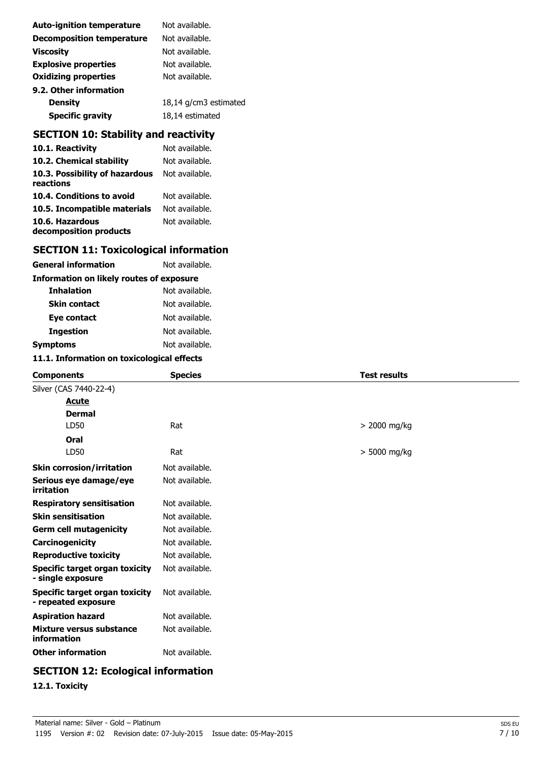| <b>Auto-ignition temperature</b> | Not available.        |
|----------------------------------|-----------------------|
| <b>Decomposition temperature</b> | Not available.        |
| <b>Viscosity</b>                 | Not available.        |
| <b>Explosive properties</b>      | Not available.        |
| <b>Oxidizing properties</b>      | Not available.        |
| 9.2. Other information           |                       |
| <b>Density</b>                   | 18,14 g/cm3 estimated |
| <b>Specific gravity</b>          | 18,14 estimated       |

# **SECTION 10: Stability and reactivity**

| 10.1. Reactivity                            | Not available. |
|---------------------------------------------|----------------|
| 10.2. Chemical stability                    | Not available. |
| 10.3. Possibility of hazardous<br>reactions | Not available. |
| 10.4. Conditions to avoid                   | Not available. |
| 10.5. Incompatible materials                | Not available. |
| 10.6. Hazardous<br>decomposition products   | Not available. |

# **SECTION 11: Toxicological information**

| General information                      | Not available. |  |
|------------------------------------------|----------------|--|
| Information on likely routes of exposure |                |  |
| <b>Inhalation</b>                        | Not available. |  |
| <b>Skin contact</b>                      | Not available. |  |
| Eye contact                              | Not available. |  |
| <b>Ingestion</b>                         | Not available. |  |
| Symptoms                                 | Not available. |  |
|                                          |                |  |

#### **11.1. Information on toxicological effects**

| <b>Components</b>                                     | <b>Species</b> | <b>Test results</b> |
|-------------------------------------------------------|----------------|---------------------|
| Silver (CAS 7440-22-4)                                |                |                     |
| <u>Acute</u>                                          |                |                     |
| <b>Dermal</b>                                         |                |                     |
| LD50                                                  | Rat            | > 2000 mg/kg        |
| Oral                                                  |                |                     |
| LD50                                                  | Rat            | > 5000 mg/kg        |
| <b>Skin corrosion/irritation</b>                      | Not available. |                     |
| Serious eye damage/eye<br>irritation                  | Not available. |                     |
| <b>Respiratory sensitisation</b>                      | Not available. |                     |
| <b>Skin sensitisation</b>                             | Not available. |                     |
| <b>Germ cell mutagenicity</b>                         | Not available. |                     |
| <b>Carcinogenicity</b>                                | Not available. |                     |
| <b>Reproductive toxicity</b>                          | Not available. |                     |
| Specific target organ toxicity<br>- single exposure   | Not available. |                     |
| Specific target organ toxicity<br>- repeated exposure | Not available. |                     |
| <b>Aspiration hazard</b>                              | Not available. |                     |
| Mixture versus substance<br>information               | Not available. |                     |
| <b>Other information</b>                              | Not available. |                     |

# **SECTION 12: Ecological information**

**12.1. Toxicity**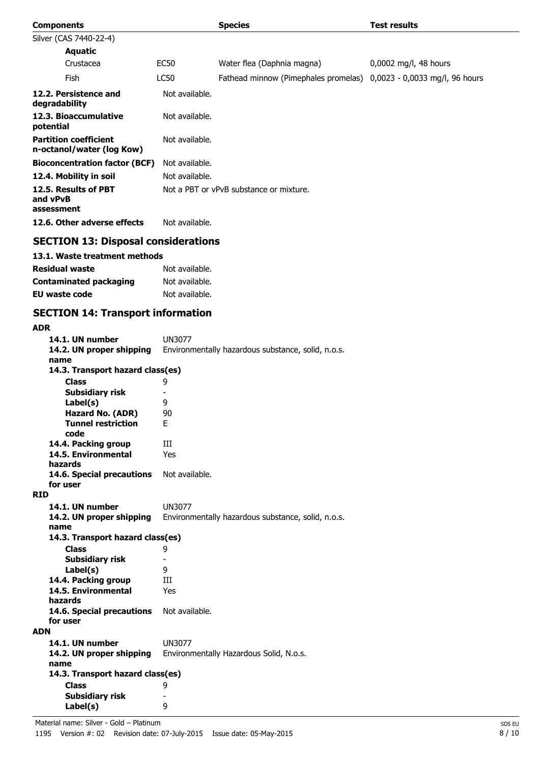| <b>Components</b>                                         |                | <b>Species</b>                                                      | <b>Test results</b>     |
|-----------------------------------------------------------|----------------|---------------------------------------------------------------------|-------------------------|
| Silver (CAS 7440-22-4)                                    |                |                                                                     |                         |
| <b>Aquatic</b>                                            |                |                                                                     |                         |
| Crustacea                                                 | EC50           | Water flea (Daphnia magna)                                          | $0,0002$ mg/l, 48 hours |
| Fish                                                      | LC50           | Fathead minnow (Pimephales promelas) 0,0023 - 0,0033 mg/l, 96 hours |                         |
| 12.2. Persistence and<br>degradability                    | Not available. |                                                                     |                         |
| 12.3. Bioaccumulative<br>potential                        | Not available. |                                                                     |                         |
| <b>Partition coefficient</b><br>n-octanol/water (log Kow) | Not available. |                                                                     |                         |
| <b>Bioconcentration factor (BCF)</b>                      | Not available. |                                                                     |                         |
| 12.4. Mobility in soil                                    | Not available. |                                                                     |                         |
| 12.5. Results of PBT<br>and vPvB<br>assessment            |                | Not a PBT or vPvB substance or mixture.                             |                         |
| 12.6. Other adverse effects                               | Not available. |                                                                     |                         |
|                                                           |                |                                                                     |                         |

### **SECTION 13: Disposal considerations**

### **13.1. Waste treatment methods**

| <b>Residual waste</b>         | Not available. |
|-------------------------------|----------------|
| <b>Contaminated packaging</b> | Not available. |
| <b>EU</b> waste code          | Not available. |

### **SECTION 14: Transport information**

| <b>ADR</b> |                                          |                                                    |
|------------|------------------------------------------|----------------------------------------------------|
|            | 14.1. UN number                          | <b>UN3077</b>                                      |
|            | 14.2. UN proper shipping                 | Environmentally hazardous substance, solid, n.o.s. |
|            | name                                     |                                                    |
|            | 14.3. Transport hazard class(es)         |                                                    |
|            | Class                                    | 9                                                  |
|            | Subsidiary risk                          |                                                    |
|            | Label(s)                                 | 9                                                  |
|            | Hazard No. (ADR)                         | 90                                                 |
|            | <b>Tunnel restriction</b><br>code        | F.                                                 |
|            | 14.4. Packing group                      | Ш                                                  |
|            | 14.5. Environmental                      | Yes                                                |
|            | hazards                                  |                                                    |
|            | 14.6. Special precautions                | Not available.                                     |
|            | for user                                 |                                                    |
| <b>RID</b> |                                          |                                                    |
|            | 14.1. UN number                          | <b>UN3077</b>                                      |
|            | 14.2. UN proper shipping                 | Environmentally hazardous substance, solid, n.o.s. |
|            | name                                     |                                                    |
|            | 14.3. Transport hazard class(es)         |                                                    |
|            | Class                                    | 9                                                  |
|            | <b>Subsidiary risk</b>                   |                                                    |
|            | Label(s)                                 | 9                                                  |
|            | 14.4. Packing group                      | Ш                                                  |
|            | 14.5. Environmental                      | Yes                                                |
|            | hazards                                  |                                                    |
|            | 14.6. Special precautions                | Not available.                                     |
|            | for user                                 |                                                    |
| <b>ADN</b> |                                          |                                                    |
|            | 14.1. UN number                          | UN3077                                             |
|            | 14.2. UN proper shipping                 | Environmentally Hazardous Solid, N.o.s.            |
|            | name<br>14.3. Transport hazard class(es) |                                                    |
|            |                                          |                                                    |
|            | Class                                    | 9                                                  |
|            | Subsidiary risk                          | 9                                                  |
|            | Label(s)                                 |                                                    |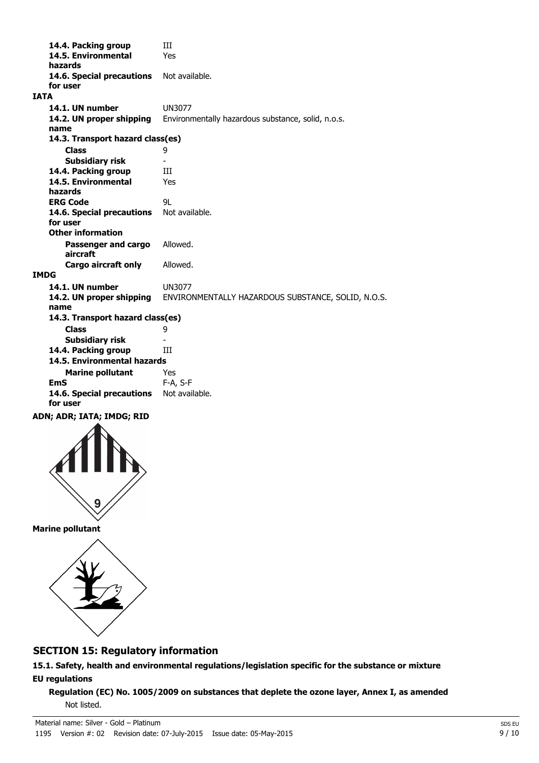**14.4. Packing group III 14.5. Environmental** Yes **hazards 14.6. Special precautions** Not available. **for user IATA 14.1. UN number** UN3077 **14.2. UN proper shipping** Environmentally hazardous substance, solid, n.o.s. **name Class** 9 **14.3. Transport hazard class(es) Subsidiary risk** 14.4. Packing group **III 14.5. Environmental** Yes **hazards ERG Code** 9L 14.6. Special precautions Not available. **for user Passenger and cargo** Allowed. **aircraft Other information Cargo aircraft only** Allowed. **IMDG 14.1. UN number** UN3077 **14.2. UN proper shipping** ENVIRONMENTALLY HAZARDOUS SUBSTANCE, SOLID, N.O.S. **name Class** 9 **14.3. Transport hazard class(es) Subsidiary risk** 14.4. Packing group **III Marine pollutant** Yes **14.5. Environmental hazards EmS** F-A, S-F 14.6. Special precautions Not available. **for user ADN; ADR; IATA; IMDG; RID**



**Marine pollutant**



# **SECTION 15: Regulatory information**

**15.1. Safety, health and environmental regulations/legislation specific for the substance or mixture EU regulations**

**Regulation (EC) No. 1005/2009 on substances that deplete the ozone layer, Annex I, as amended** Not listed.